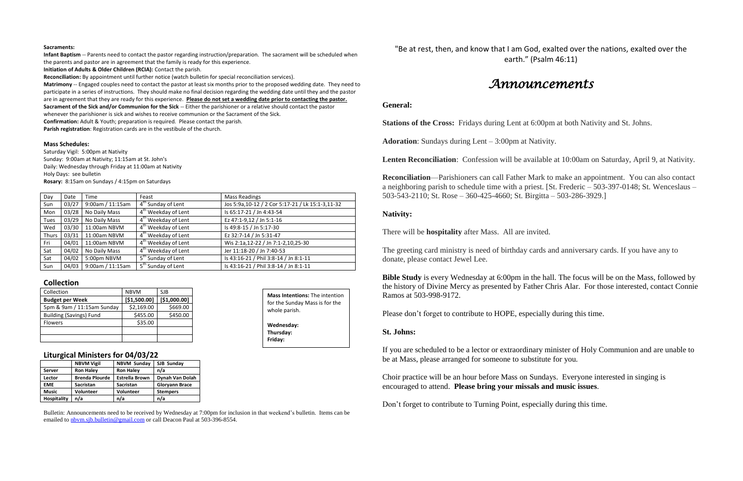#### **Sacraments:**

**Infant Baptism** -- Parents need to contact the pastor regarding instruction/preparation. The sacrament will be scheduled when the parents and pastor are in agreement that the family is ready for this experience.

**Initiation of Adults & Older Children (RCIA):** Contact the parish.

**Reconciliation:** By appointment until further notice (watch bulletin for special reconciliation services).

**Matrimony** -- Engaged couples need to contact the pastor at least six months prior to the proposed wedding date. They need to participate in a series of instructions. They should make no final decision regarding the wedding date until they and the pastor are in agreement that they are ready for this experience. **Please do not set a wedding date prior to contacting the pastor. Sacrament of the Sick and/or Communion for the Sick** -- Either the parishioner or a relative should contact the pastor whenever the parishioner is sick and wishes to receive communion or the Sacrament of the Sick.

**Confirmation:** Adult & Youth; preparation is required. Please contact the parish.

**Parish registration**: Registration cards are in the vestibule of the church.

#### **Mass Schedules:**

Saturday Vigil: 5:00pm at Nativity Sunday: 9:00am at Nativity; 11:15am at St. John's Daily: Wednesday through Friday at 11:00am at Nativity Holy Days: see bulletin **Rosary:** 8:15am on Sundays / 4:15pm on Saturdays

| Day         | Date  | <b>Time</b>      | Feast                           | <b>Mass Readings</b>                               |  |
|-------------|-------|------------------|---------------------------------|----------------------------------------------------|--|
| Sun         | 03/27 | 9:00am / 11:15am | 4 <sup>th</sup> Sunday of Lent  | Jos 5:9a, 10-12 / 2 Cor 5:17-21 / Lk 15:1-3, 11-32 |  |
| Mon         | 03/28 | No Daily Mass    | 4 <sup>th</sup> Weekday of Lent | Is 65:17-21 / Jn 4:43-54                           |  |
| <b>Tues</b> | 03/29 | No Daily Mass    | 4 <sup>th</sup> Weekday of Lent | Ez 47:1-9,12 / Jn 5:1-16                           |  |
| Wed         | 03/30 | 11:00am NBVM     | 4 <sup>th</sup> Weekday of Lent | Is 49:8-15 / Jn 5:17-30                            |  |
| Thurs       | 03/31 | 11:00am NBVM     | 4 <sup>th</sup> Weekday of Lent | Ez 32:7-14 / Jn 5:31-47                            |  |
| Fri         | 04/01 | 11:00am NBVM     | 4 <sup>th</sup> Weekday of Lent | Wis 2:1a,12-22 / Jn 7:1-2,10,25-30                 |  |
| Sat         | 04/02 | No Daily Mass    | 4 <sup>th</sup> Weekday of Lent | Jer 11:18-20 / Jn 7:40-53                          |  |
| Sat         | 04/02 | 5:00pm NBVM      | 5 <sup>th</sup> Sunday of Lent  | Is 43:16-21 / Phil 3:8-14 / Jn 8:1-11              |  |
| Sun         | 04/03 | 9:00am / 11:15am | 5 <sup>th</sup> Sunday of Lent  | Is 43:16-21 / Phil 3:8-14 / Jn 8:1-11              |  |

**Bible Study** is every Wednesday at 6:00pm in the hall. The focus will be on the Mass, followed by the history of Divine Mercy as presented by Father Chris Alar. For those interested, contact Connie Ramos at 503-998-9172.

#### **Collection**

| Collection                     | <b>NBVM</b>  | <b>SJB</b>   |
|--------------------------------|--------------|--------------|
| <b>Budget per Week</b>         | [\$1,500.00] | [\$1,000.00] |
| 5pm & 9am / 11:15am Sunday     | \$2,169.00   | \$669.00     |
| <b>Building (Savings) Fund</b> | \$455.00     | \$450.00     |
| <b>Flowers</b>                 | \$35.00      |              |
|                                |              |              |
|                                |              |              |

#### **Liturgical Ministers for 04/03/22**

|                    | <b>NBVM Vigil</b>     | <b>NBVM Sunday</b>    | SJB Sunday            |  |  |
|--------------------|-----------------------|-----------------------|-----------------------|--|--|
| <b>Server</b>      | <b>Ron Haley</b>      | <b>Ron Haley</b>      | n/a                   |  |  |
| Lector             | <b>Brenda Plourde</b> | <b>Estrella Brown</b> | Dynah Van Dolah       |  |  |
| <b>EME</b>         | <b>Sacristan</b>      | <b>Sacristan</b>      | <b>Gloryann Brace</b> |  |  |
| <b>Music</b>       | <b>Volunteer</b>      | <b>Volunteer</b>      | <b>Stempers</b>       |  |  |
| <b>Hospitality</b> | n/a                   | n/a                   | n/a                   |  |  |

Bulletin: Announcements need to be received by Wednesday at 7:00pm for inclusion in that weekend's bulletin. Items can be emailed to [nbvm.sjb.bulletin@gmail.com](mailto:nbvm.sjb.bulletin@gmail.com) or call Deacon Paul at 503-396-8554.

"Be at rest, then, and know that I am God, exalted over the nations, exalted over the earth." (Psalm 46:11)

# *Announcements*

#### **General:**

**Stations of the Cross:** Fridays during Lent at 6:00pm at both Nativity and St. Johns.

**Adoration**: Sundays during Lent – 3:00pm at Nativity.

**Lenten Reconciliation**: Confession will be available at 10:00am on Saturday, April 9, at Nativity.

**Reconciliation**—Parishioners can call Father Mark to make an appointment. You can also contact a neighboring parish to schedule time with a priest. [St. Frederic – 503-397-0148; St. Wenceslaus – 503-543-2110; St. Rose – 360-425-4660; St. Birgitta – 503-286-3929.]

#### **Nativity:**

There will be **hospitality** after Mass. All are invited.

The greeting card ministry is need of birthday cards and anniversary cards. If you have any to donate, please contact Jewel Lee.

Please don't forget to contribute to HOPE, especially during this time.

### **St. Johns:**

If you are scheduled to be a lector or extraordinary minister of Holy Communion and are unable to be at Mass, please arranged for someone to substitute for you.

Choir practice will be an hour before Mass on Sundays. Everyone interested in singing is encouraged to attend. **Please bring your missals and music issues**.

Don't forget to contribute to Turning Point, especially during this time.

**Mass Intentions:** The intention for the Sunday Mass is for the

whole parish.

**Wednesday: Thursday: Friday:**